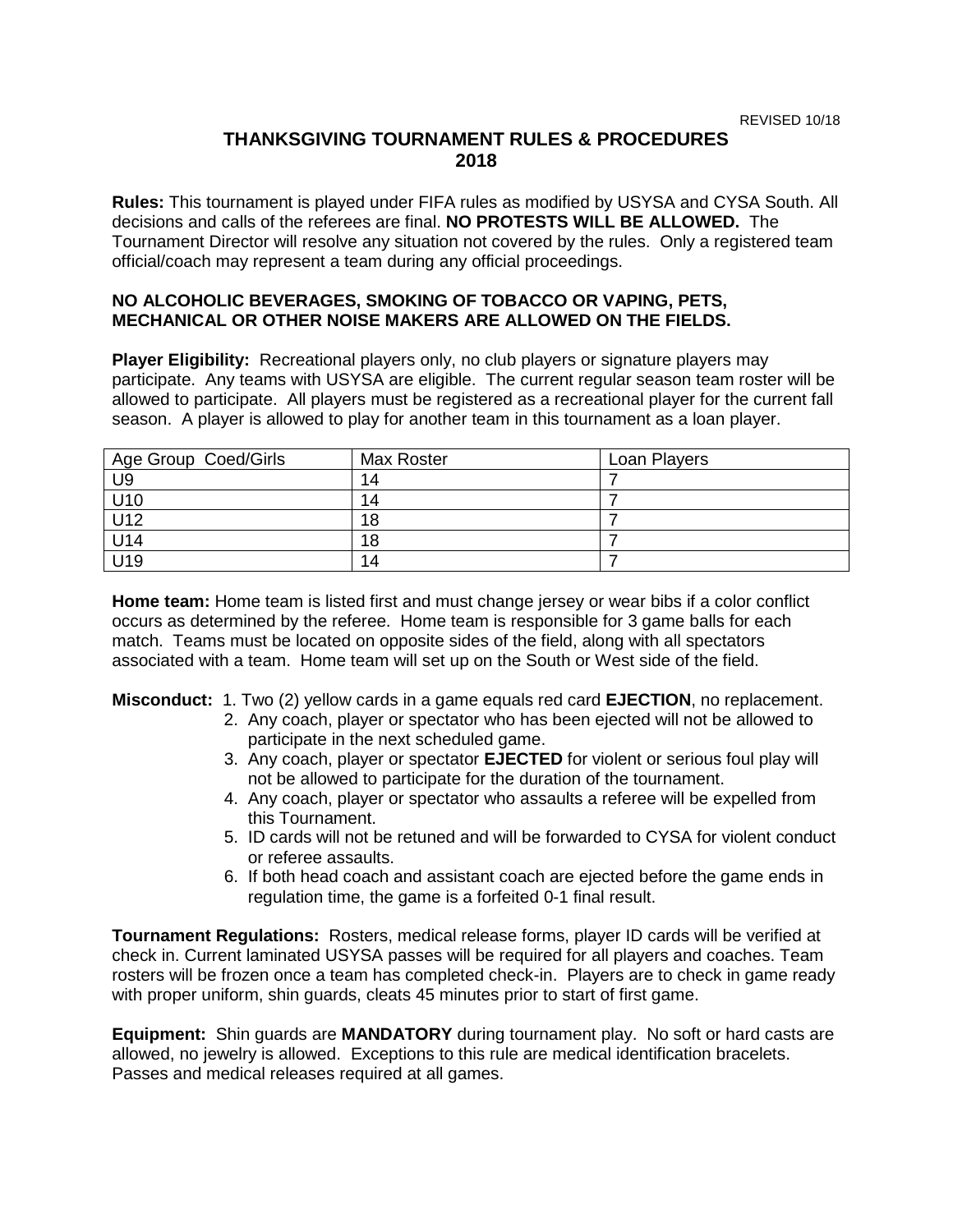## **THANKSGIVING TOURNAMENT RULES & PROCEDURES 2018**

**Rules:** This tournament is played under FIFA rules as modified by USYSA and CYSA South. All decisions and calls of the referees are final. **NO PROTESTS WILL BE ALLOWED.** The Tournament Director will resolve any situation not covered by the rules. Only a registered team official/coach may represent a team during any official proceedings.

## **NO ALCOHOLIC BEVERAGES, SMOKING OF TOBACCO OR VAPING, PETS, MECHANICAL OR OTHER NOISE MAKERS ARE ALLOWED ON THE FIELDS.**

**Player Eligibility:** Recreational players only, no club players or signature players may participate. Any teams with USYSA are eligible. The current regular season team roster will be allowed to participate. All players must be registered as a recreational player for the current fall season. A player is allowed to play for another team in this tournament as a loan player.

| Age Group Coed/Girls | <b>Max Roster</b> | Loan Players |  |
|----------------------|-------------------|--------------|--|
| U <sub>9</sub>       | 14                |              |  |
| U10                  | 14                |              |  |
| U12                  | 18                |              |  |
| U14                  | 18                |              |  |
| U19                  | 14                |              |  |

**Home team:** Home team is listed first and must change jersey or wear bibs if a color conflict occurs as determined by the referee. Home team is responsible for 3 game balls for each match. Teams must be located on opposite sides of the field, along with all spectators associated with a team. Home team will set up on the South or West side of the field.

**Misconduct:** 1. Two (2) yellow cards in a game equals red card **EJECTION**, no replacement.

- 2. Any coach, player or spectator who has been ejected will not be allowed to participate in the next scheduled game.
- 3. Any coach, player or spectator **EJECTED** for violent or serious foul play will not be allowed to participate for the duration of the tournament.
- 4. Any coach, player or spectator who assaults a referee will be expelled from this Tournament.
- 5. ID cards will not be retuned and will be forwarded to CYSA for violent conduct or referee assaults.
- 6. If both head coach and assistant coach are ejected before the game ends in regulation time, the game is a forfeited 0-1 final result.

**Tournament Regulations:** Rosters, medical release forms, player ID cards will be verified at check in. Current laminated USYSA passes will be required for all players and coaches. Team rosters will be frozen once a team has completed check-in. Players are to check in game ready with proper uniform, shin guards, cleats 45 minutes prior to start of first game.

**Equipment:** Shin guards are **MANDATORY** during tournament play. No soft or hard casts are allowed, no jewelry is allowed. Exceptions to this rule are medical identification bracelets. Passes and medical releases required at all games.